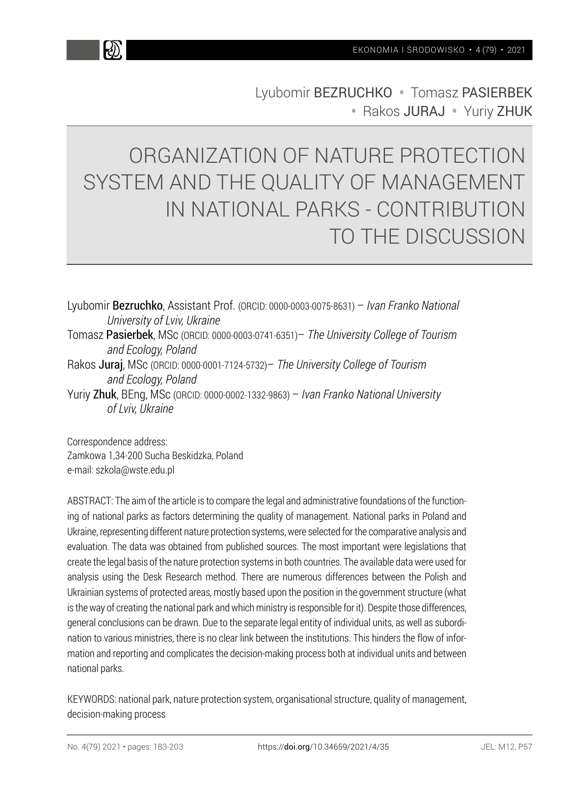k))

Lyubomir BEZRUCHKO • Tomasz PASIERBEK • Rakos JURAJ • Yuriy ZHUK

# ORGANIZATION OF NATURE PROTECTION SYSTEM AND THE QUALITY OF MANAGEMENT IN NATIONAL PARKS - CONTRIBUTION TO THE DISCUSSION

Lyubomir Bezruchko, Assistant Prof. (ORCID: 0000-0003-0075-8631) – *Ivan Franko National University of Lviv, Ukraine* Tomasz Pasierbek, MSc (ORCID: 0000-0003-0741-6351)– *The University College of Tourism and Ecology, Poland* Rakos Juraj, MSc (ORCID: 0000-0001-7124-5732)– *The University College of Tourism and Ecology, Poland* Yuriy Zhuk, BEng, MSc (ORCID: 0000-0002-1332-9863) – *Ivan Franko National University of Lviv, Ukraine*

Correspondence address: Zamkowa 1,34-200 Sucha Beskidzka, Poland e-mail: szkola@wste.edu.pl

ABSTRACT: The aim of the article is to compare the legal and administrative foundations of the functioning of national parks as factors determining the quality of management. National parks in Poland and Ukraine, representing different nature protection systems, were selected for the comparative analysis and evaluation. The data was obtained from published sources. The most important were legislations that create the legal basis of the nature protection systems in both countries. The available data were used for analysis using the Desk Research method. There are numerous differences between the Polish and Ukrainian systems of protected areas, mostly based upon the position in the government structure (what is the way of creating the national park and which ministry is responsible for it). Despite those differences, general conclusions can be drawn. Due to the separate legal entity of individual units, as well as subordination to various ministries, there is no clear link between the institutions. This hinders the flow of information and reporting and complicates the decision-making process both at individual units and between national parks.

KEYWORDS: national park, nature protection system, organisational structure, quality of management, decision-making process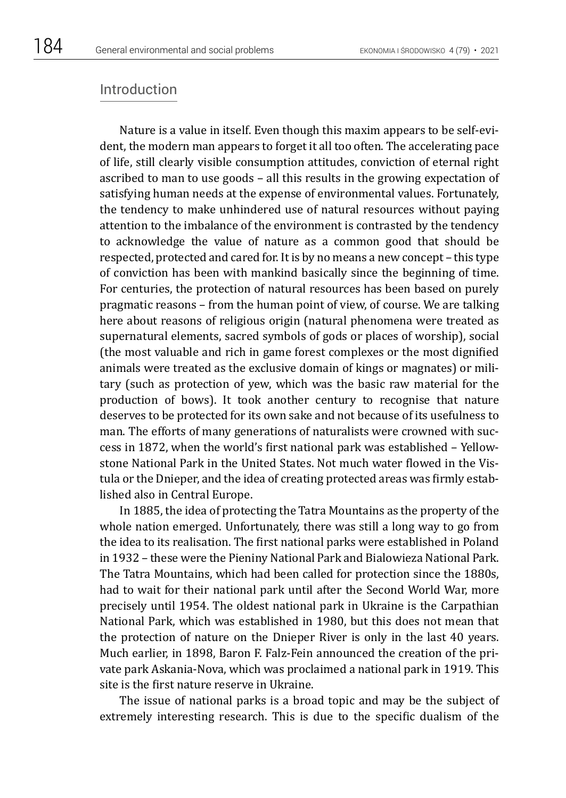## Introduction

Nature is a value in itself. Even though this maxim appears to be self-evident, the modern man appears to forget it all too often. The accelerating pace of life, still clearly visible consumption attitudes, conviction of eternal right ascribed to man to use goods – all this results in the growing expectation of satisfying human needs at the expense of environmental values. Fortunately, the tendency to make unhindered use of natural resources without paying attention to the imbalance of the environment is contrasted by the tendency to acknowledge the value of nature as a common good that should be respected, protected and cared for. It is by no means a new concept – this type of conviction has been with mankind basically since the beginning of time. For centuries, the protection of natural resources has been based on purely pragmatic reasons – from the human point of view, of course. We are talking here about reasons of religious origin (natural phenomena were treated as supernatural elements, sacred symbols of gods or places of worship), social (the most valuable and rich in game forest complexes or the most dignified animals were treated as the exclusive domain of kings or magnates) or military (such as protection of yew, which was the basic raw material for the production of bows). It took another century to recognise that nature deserves to be protected for its own sake and not because of its usefulness to man. The efforts of many generations of naturalists were crowned with success in 1872, when the world's first national park was established – Yellowstone National Park in the United States. Not much water flowed in the Vistula or the Dnieper, and the idea of creating protected areas was firmly established also in Central Europe.

In 1885, the idea of protecting the Tatra Mountains as the property of the whole nation emerged. Unfortunately, there was still a long way to go from the idea to its realisation. The first national parks were established in Poland in 1932 – these were the Pieniny National Park and Bialowieza National Park. The Tatra Mountains, which had been called for protection since the 1880s, had to wait for their national park until after the Second World War, more precisely until 1954. The oldest national park in Ukraine is the Carpathian National Park, which was established in 1980, but this does not mean that the protection of nature on the Dnieper River is only in the last 40 years. Much earlier, in 1898, Baron F. Falz-Fein announced the creation of the private park Askania-Nova, which was proclaimed a national park in 1919. This site is the first nature reserve in Ukraine.

The issue of national parks is a broad topic and may be the subject of extremely interesting research. This is due to the specific dualism of the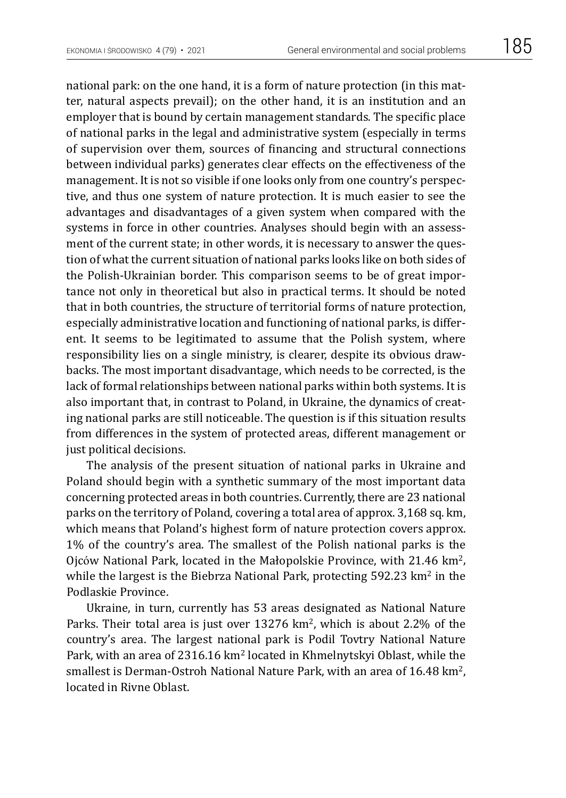national park: on the one hand, it is a form of nature protection (in this matter, natural aspects prevail); on the other hand, it is an institution and an employer that is bound by certain management standards. The specific place of national parks in the legal and administrative system (especially in terms of supervision over them, sources of financing and structural connections between individual parks) generates clear effects on the effectiveness of the management. It is not so visible if one looks only from one country's perspective, and thus one system of nature protection. It is much easier to see the advantages and disadvantages of a given system when compared with the systems in force in other countries. Analyses should begin with an assessment of the current state; in other words, it is necessary to answer the question of what the current situation of national parks looks like on both sides of the Polish-Ukrainian border. This comparison seems to be of great importance not only in theoretical but also in practical terms. It should be noted that in both countries, the structure of territorial forms of nature protection, especially administrative location and functioning of national parks, is different. It seems to be legitimated to assume that the Polish system, where responsibility lies on a single ministry, is clearer, despite its obvious drawbacks. The most important disadvantage, which needs to be corrected, is the lack of formal relationships between national parks within both systems. It is also important that, in contrast to Poland, in Ukraine, the dynamics of creating national parks are still noticeable. The question is if this situation results from differences in the system of protected areas, different management or just political decisions.

The analysis of the present situation of national parks in Ukraine and Poland should begin with a synthetic summary of the most important data concerning protected areas in both countries. Currently, there are 23 national parks on the territory of Poland, covering a total area of approx. 3,168 sq. km, which means that Poland's highest form of nature protection covers approx. 1% of the country's area. The smallest of the Polish national parks is the Ojców National Park, located in the Małopolskie Province, with 21.46 km2, while the largest is the Biebrza National Park, protecting  $592.23 \text{ km}^2$  in the Podlaskie Province.

Ukraine, in turn, currently has 53 areas designated as National Nature Parks. Their total area is just over  $13276 \text{ km}^2$ , which is about 2.2% of the country's area. The largest national park is Podil Tovtry National Nature Park, with an area of 2316.16  $km^2$  located in Khmelnytskyi Oblast, while the smallest is Derman-Ostroh National Nature Park, with an area of 16.48 km<sup>2</sup>, located in Rivne Oblast.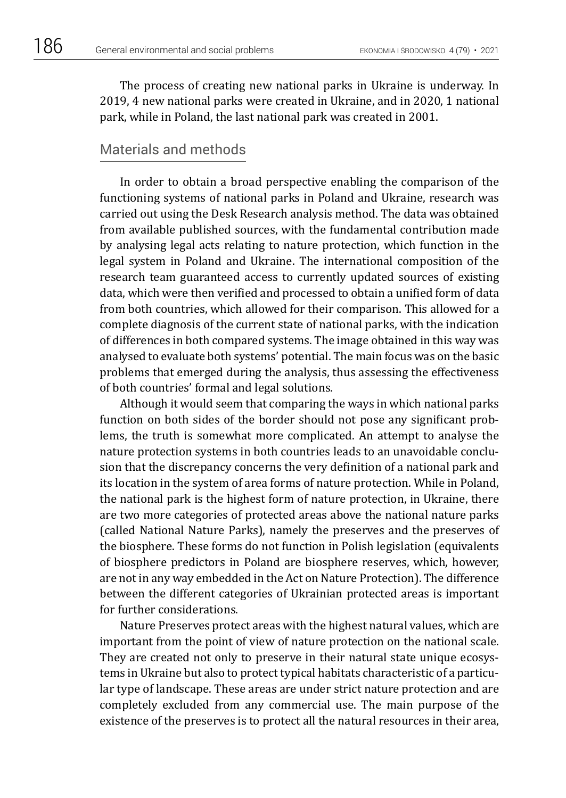The process of creating new national parks in Ukraine is underway. In 2019, 4 new national parks were created in Ukraine, and in 2020, 1 national park, while in Poland, the last national park was created in 2001.

## Materials and methods

In order to obtain a broad perspective enabling the comparison of the functioning systems of national parks in Poland and Ukraine, research was carried out using the Desk Research analysis method. The data was obtained from available published sources, with the fundamental contribution made by analysing legal acts relating to nature protection, which function in the legal system in Poland and Ukraine. The international composition of the research team guaranteed access to currently updated sources of existing data, which were then verified and processed to obtain a unified form of data from both countries, which allowed for their comparison. This allowed for a complete diagnosis of the current state of national parks, with the indication of differences in both compared systems. The image obtained in this way was analysed to evaluate both systems' potential. The main focus was on the basic problems that emerged during the analysis, thus assessing the effectiveness of both countries' formal and legal solutions.

Although it would seem that comparing the ways in which national parks function on both sides of the border should not pose any significant problems, the truth is somewhat more complicated. An attempt to analyse the nature protection systems in both countries leads to an unavoidable conclusion that the discrepancy concerns the very definition of a national park and its location in the system of area forms of nature protection. While in Poland, the national park is the highest form of nature protection, in Ukraine, there are two more categories of protected areas above the national nature parks (called National Nature Parks), namely the preserves and the preserves of the biosphere. These forms do not function in Polish legislation (equivalents of biosphere predictors in Poland are biosphere reserves, which, however, are not in any way embedded in the Act on Nature Protection). The difference between the different categories of Ukrainian protected areas is important for further considerations.

Nature Preserves protect areas with the highest natural values, which are important from the point of view of nature protection on the national scale. They are created not only to preserve in their natural state unique ecosystems in Ukraine but also to protect typical habitats characteristic of a particular type of landscape. These areas are under strict nature protection and are completely excluded from any commercial use. The main purpose of the existence of the preserves is to protect all the natural resources in their area,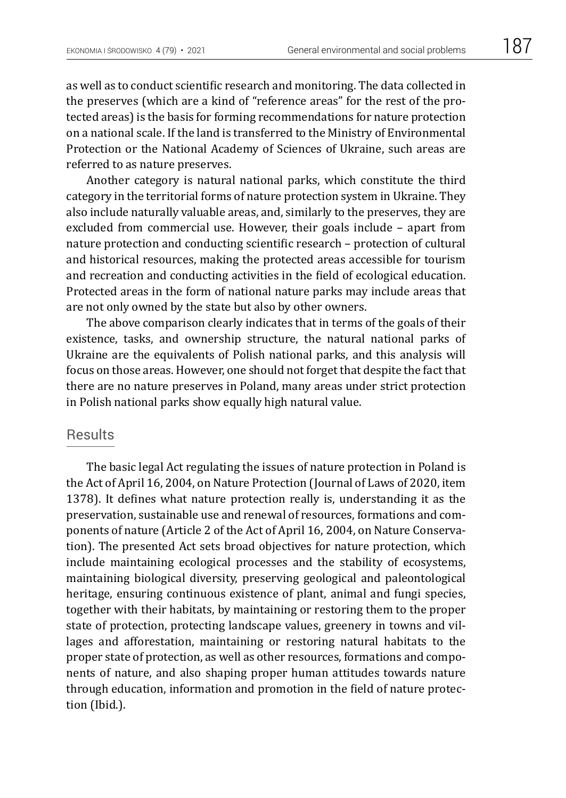as well as to conduct scientific research and monitoring. The data collected in the preserves (which are a kind of "reference areas" for the rest of the protected areas) is the basis for forming recommendations for nature protection on a national scale. If the land is transferred to the Ministry of Environmental Protection or the National Academy of Sciences of Ukraine, such areas are referred to as nature preserves.

Another category is natural national parks, which constitute the third category in the territorial forms of nature protection system in Ukraine. They also include naturally valuable areas, and, similarly to the preserves, they are excluded from commercial use. However, their goals include – apart from nature protection and conducting scientific research – protection of cultural and historical resources, making the protected areas accessible for tourism and recreation and conducting activities in the field of ecological education. Protected areas in the form of national nature parks may include areas that are not only owned by the state but also by other owners.

The above comparison clearly indicates that in terms of the goals of their existence, tasks, and ownership structure, the natural national parks of Ukraine are the equivalents of Polish national parks, and this analysis will focus on those areas. However, one should not forget that despite the fact that there are no nature preserves in Poland, many areas under strict protection in Polish national parks show equally high natural value.

#### **Results**

The basic legal Act regulating the issues of nature protection in Poland is the Act of April 16, 2004, on Nature Protection (Journal of Laws of 2020, item 1378). It defines what nature protection really is, understanding it as the preservation, sustainable use and renewal of resources, formations and components of nature (Article 2 of the Act of April 16, 2004, on Nature Conservation). The presented Act sets broad objectives for nature protection, which include maintaining ecological processes and the stability of ecosystems, maintaining biological diversity, preserving geological and paleontological heritage, ensuring continuous existence of plant, animal and fungi species, together with their habitats, by maintaining or restoring them to the proper state of protection, protecting landscape values, greenery in towns and villages and afforestation, maintaining or restoring natural habitats to the proper state of protection, as well as other resources, formations and components of nature, and also shaping proper human attitudes towards nature through education, information and promotion in the field of nature protection (Ibid.).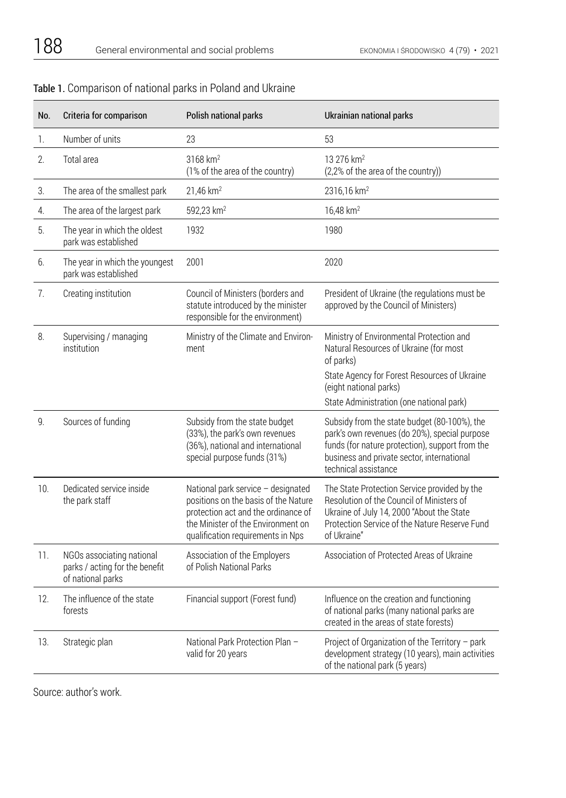| No. | Criteria for comparison                                                          | Polish national parks                                                                                                                                                                        | Ukrainian national parks                                                                                                                                                                                               |
|-----|----------------------------------------------------------------------------------|----------------------------------------------------------------------------------------------------------------------------------------------------------------------------------------------|------------------------------------------------------------------------------------------------------------------------------------------------------------------------------------------------------------------------|
| 1.  | Number of units                                                                  | 23                                                                                                                                                                                           | 53                                                                                                                                                                                                                     |
| 2.  | Total area                                                                       | 3168 km <sup>2</sup><br>(1% of the area of the country)                                                                                                                                      | 13 276 km <sup>2</sup><br>(2,2% of the area of the country))                                                                                                                                                           |
| 3.  | The area of the smallest park                                                    | 21,46 km <sup>2</sup>                                                                                                                                                                        | 2316,16 km <sup>2</sup>                                                                                                                                                                                                |
| 4.  | The area of the largest park                                                     | 592,23 km <sup>2</sup>                                                                                                                                                                       | 16,48 km <sup>2</sup>                                                                                                                                                                                                  |
| 5.  | The year in which the oldest<br>park was established                             | 1932                                                                                                                                                                                         | 1980                                                                                                                                                                                                                   |
| 6.  | The year in which the youngest<br>park was established                           | 2001                                                                                                                                                                                         | 2020                                                                                                                                                                                                                   |
| 7.  | Creating institution                                                             | Council of Ministers (borders and<br>statute introduced by the minister<br>responsible for the environment)                                                                                  | President of Ukraine (the regulations must be<br>approved by the Council of Ministers)                                                                                                                                 |
| 8.  | Supervising / managing<br>institution                                            | Ministry of the Climate and Environ-<br>ment                                                                                                                                                 | Ministry of Environmental Protection and<br>Natural Resources of Ukraine (for most<br>of parks)                                                                                                                        |
|     |                                                                                  |                                                                                                                                                                                              | State Agency for Forest Resources of Ukraine<br>(eight national parks)<br>State Administration (one national park)                                                                                                     |
| 9.  | Sources of funding                                                               | Subsidy from the state budget<br>(33%), the park's own revenues<br>(36%), national and international<br>special purpose funds (31%)                                                          | Subsidy from the state budget (80-100%), the<br>park's own revenues (do 20%), special purpose<br>funds (for nature protection), support from the<br>business and private sector, international<br>technical assistance |
| 10. | Dedicated service inside<br>the park staff                                       | National park service - designated<br>positions on the basis of the Nature<br>protection act and the ordinance of<br>the Minister of the Environment on<br>qualification requirements in Nps | The State Protection Service provided by the<br>Resolution of the Council of Ministers of<br>Ukraine of July 14, 2000 "About the State<br>Protection Service of the Nature Reserve Fund<br>of Ukraine"                 |
| 11. | NGOs associating national<br>parks / acting for the benefit<br>of national parks | Association of the Employers<br>of Polish National Parks                                                                                                                                     | Association of Protected Areas of Ukraine                                                                                                                                                                              |
| 12. | The influence of the state<br>forests                                            | Financial support (Forest fund)                                                                                                                                                              | Influence on the creation and functioning<br>of national parks (many national parks are<br>created in the areas of state forests)                                                                                      |
| 13. | Strategic plan                                                                   | National Park Protection Plan -<br>valid for 20 years                                                                                                                                        | Project of Organization of the Territory - park<br>development strategy (10 years), main activities<br>of the national park (5 years)                                                                                  |

## Table 1. Comparison of national parks in Poland and Ukraine

Source: author's work.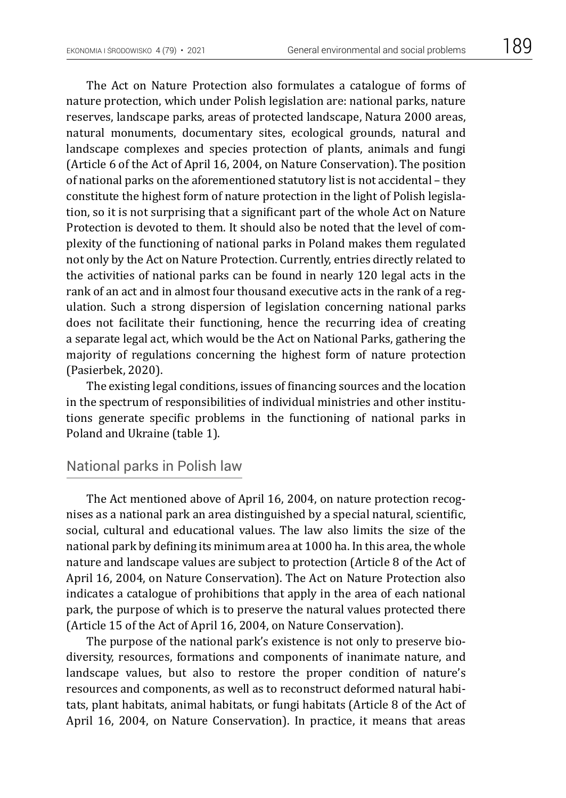The Act on Nature Protection also formulates a catalogue of forms of nature protection, which under Polish legislation are: national parks, nature reserves, landscape parks, areas of protected landscape, Natura 2000 areas, natural monuments, documentary sites, ecological grounds, natural and landscape complexes and species protection of plants, animals and fungi (Article 6 of the Act of April 16, 2004, on Nature Conservation). The position of national parks on the aforementioned statutory list is not accidental – they constitute the highest form of nature protection in the light of Polish legislation, so it is not surprising that a significant part of the whole Act on Nature Protection is devoted to them. It should also be noted that the level of complexity of the functioning of national parks in Poland makes them regulated not only by the Act on Nature Protection. Currently, entries directly related to the activities of national parks can be found in nearly 120 legal acts in the rank of an act and in almost four thousand executive acts in the rank of a regulation. Such a strong dispersion of legislation concerning national parks does not facilitate their functioning, hence the recurring idea of creating a separate legal act, which would be the Act on National Parks, gathering the majority of regulations concerning the highest form of nature protection (Pasierbek, 2020).

The existing legal conditions, issues of financing sources and the location in the spectrum of responsibilities of individual ministries and other institutions generate specific problems in the functioning of national parks in Poland and Ukraine (table 1).

# National parks in Polish law

The Act mentioned above of April 16, 2004, on nature protection recognises as a national park an area distinguished by a special natural, scientific, social, cultural and educational values. The law also limits the size of the national park by defining its minimum area at 1000 ha. In this area, the whole nature and landscape values are subject to protection (Article 8 of the Act of April 16, 2004, on Nature Conservation). The Act on Nature Protection also indicates a catalogue of prohibitions that apply in the area of each national park, the purpose of which is to preserve the natural values protected there (Article 15 of the Act of April 16, 2004, on Nature Conservation).

The purpose of the national park's existence is not only to preserve biodiversity, resources, formations and components of inanimate nature, and landscape values, but also to restore the proper condition of nature's resources and components, as well as to reconstruct deformed natural habitats, plant habitats, animal habitats, or fungi habitats (Article 8 of the Act of April 16, 2004, on Nature Conservation). In practice, it means that areas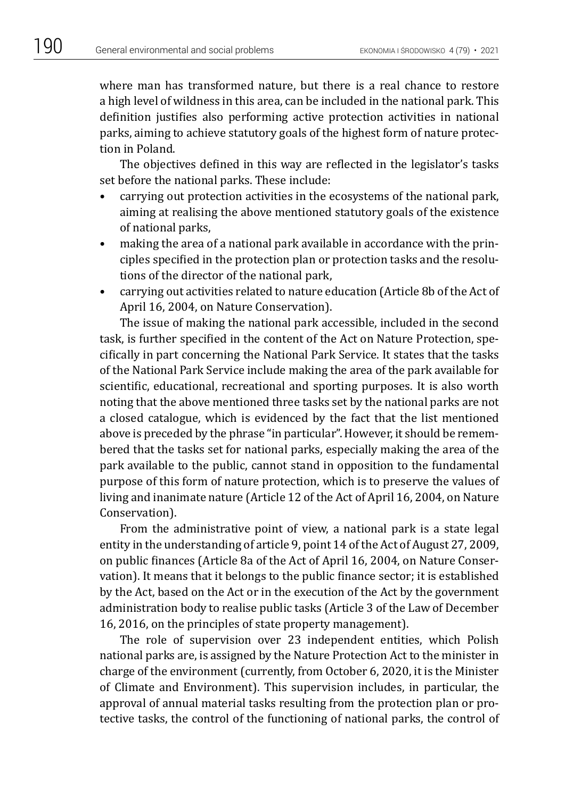where man has transformed nature, but there is a real chance to restore a high level of wildness in this area, can be included in the national park. This definition justifies also performing active protection activities in national parks, aiming to achieve statutory goals of the highest form of nature protection in Poland.

The objectives defined in this way are reflected in the legislator's tasks set before the national parks. These include:

- carrying out protection activities in the ecosystems of the national park, aiming at realising the above mentioned statutory goals of the existence of national parks,
- making the area of a national park available in accordance with the principles specified in the protection plan or protection tasks and the resolutions of the director of the national park,
- carrying out activities related to nature education (Article 8b of the Act of April 16, 2004, on Nature Conservation).

The issue of making the national park accessible, included in the second task, is further specified in the content of the Act on Nature Protection, specifically in part concerning the National Park Service. It states that the tasks of the National Park Service include making the area of the park available for scientific, educational, recreational and sporting purposes. It is also worth noting that the above mentioned three tasks set by the national parks are not a closed catalogue, which is evidenced by the fact that the list mentioned above is preceded by the phrase "in particular". However, it should be remembered that the tasks set for national parks, especially making the area of the park available to the public, cannot stand in opposition to the fundamental purpose of this form of nature protection, which is to preserve the values of living and inanimate nature (Article 12 of the Act of April 16, 2004, on Nature Conservation).

From the administrative point of view, a national park is a state legal entity in the understanding of article 9, point 14 of the Act of August 27, 2009, on public finances (Article 8a of the Act of April 16, 2004, on Nature Conservation). It means that it belongs to the public finance sector; it is established by the Act, based on the Act or in the execution of the Act by the government administration body to realise public tasks (Article 3 of the Law of December 16, 2016, on the principles of state property management).

The role of supervision over 23 independent entities, which Polish national parks are, is assigned by the Nature Protection Act to the minister in charge of the environment (currently, from October 6, 2020, it is the Minister of Climate and Environment). This supervision includes, in particular, the approval of annual material tasks resulting from the protection plan or protective tasks, the control of the functioning of national parks, the control of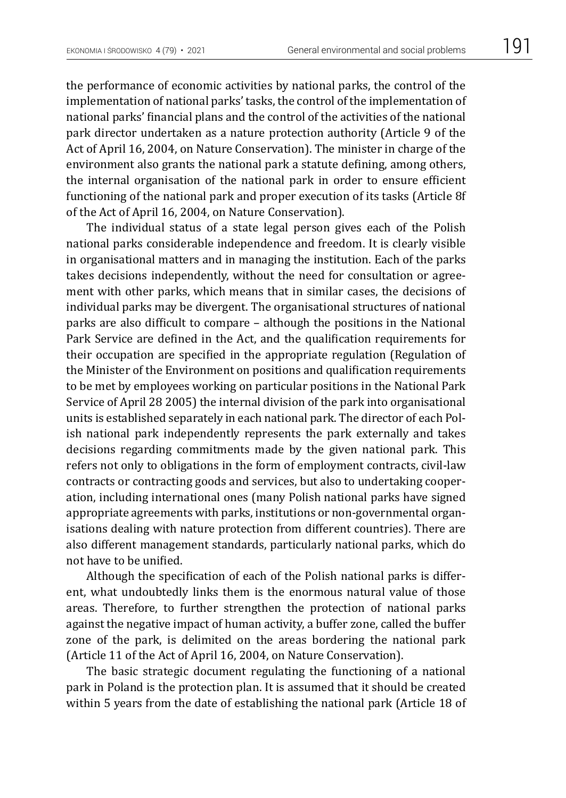the performance of economic activities by national parks, the control of the implementation of national parks' tasks, the control of the implementation of national parks' financial plans and the control of the activities of the national park director undertaken as a nature protection authority (Article 9 of the Act of April 16, 2004, on Nature Conservation). The minister in charge of the environment also grants the national park a statute defining, among others, the internal organisation of the national park in order to ensure efficient functioning of the national park and proper execution of its tasks (Article 8f of the Act of April 16, 2004, on Nature Conservation).

The individual status of a state legal person gives each of the Polish national parks considerable independence and freedom. It is clearly visible in organisational matters and in managing the institution. Each of the parks takes decisions independently, without the need for consultation or agreement with other parks, which means that in similar cases, the decisions of individual parks may be divergent. The organisational structures of national parks are also difficult to compare – although the positions in the National Park Service are defined in the Act, and the qualification requirements for their occupation are specified in the appropriate regulation (Regulation of the Minister of the Environment on positions and qualification requirements to be met by employees working on particular positions in the National Park Service of April 28 2005) the internal division of the park into organisational units is established separately in each national park. The director of each Polish national park independently represents the park externally and takes decisions regarding commitments made by the given national park. This refers not only to obligations in the form of employment contracts, civil-law contracts or contracting goods and services, but also to undertaking cooperation, including international ones (many Polish national parks have signed appropriate agreements with parks, institutions or non-governmental organisations dealing with nature protection from different countries). There are also different management standards, particularly national parks, which do not have to be unified.

Although the specification of each of the Polish national parks is different, what undoubtedly links them is the enormous natural value of those areas. Therefore, to further strengthen the protection of national parks against the negative impact of human activity, a buffer zone, called the buffer zone of the park, is delimited on the areas bordering the national park (Article 11 of the Act of April 16, 2004, on Nature Conservation).

The basic strategic document regulating the functioning of a national park in Poland is the protection plan. It is assumed that it should be created within 5 years from the date of establishing the national park (Article 18 of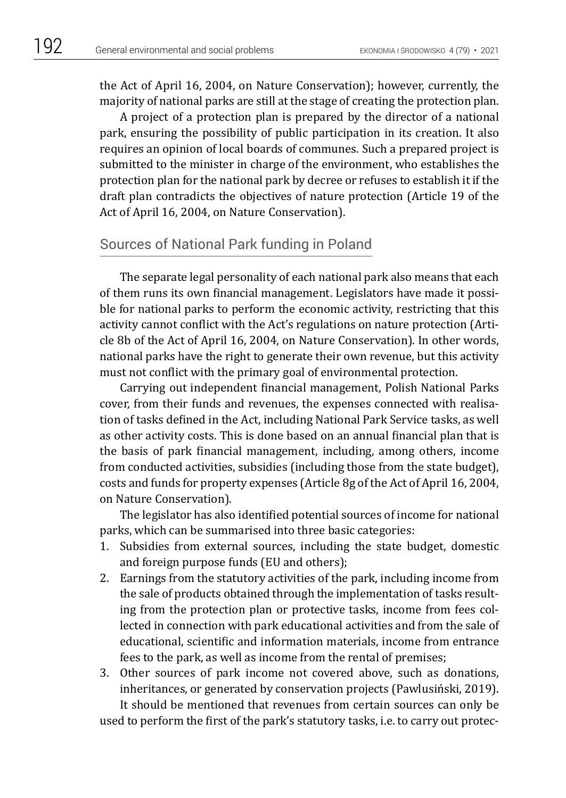the Act of April 16, 2004, on Nature Conservation); however, currently, the majority of national parks are still at the stage of creating the protection plan.

A project of a protection plan is prepared by the director of a national park, ensuring the possibility of public participation in its creation. It also requires an opinion of local boards of communes. Such a prepared project is submitted to the minister in charge of the environment, who establishes the protection plan for the national park by decree or refuses to establish it if the draft plan contradicts the objectives of nature protection (Article 19 of the Act of April 16, 2004, on Nature Conservation).

# Sources of National Park funding in Poland

The separate legal personality of each national park also means that each of them runs its own financial management. Legislators have made it possible for national parks to perform the economic activity, restricting that this activity cannot conflict with the Act's regulations on nature protection (Article 8b of the Act of April 16, 2004, on Nature Conservation). In other words, national parks have the right to generate their own revenue, but this activity must not conflict with the primary goal of environmental protection.

Carrying out independent financial management, Polish National Parks cover, from their funds and revenues, the expenses connected with realisation of tasks defined in the Act, including National Park Service tasks, as well as other activity costs. This is done based on an annual financial plan that is the basis of park financial management, including, among others, income from conducted activities, subsidies (including those from the state budget), costs and funds for property expenses (Article 8g of the Act of April 16, 2004, on Nature Conservation).

The legislator has also identified potential sources of income for national parks, which can be summarised into three basic categories:

- 1. Subsidies from external sources, including the state budget, domestic and foreign purpose funds (EU and others);
- 2. Earnings from the statutory activities of the park, including income from the sale of products obtained through the implementation of tasks resulting from the protection plan or protective tasks, income from fees collected in connection with park educational activities and from the sale of educational, scientific and information materials, income from entrance fees to the park, as well as income from the rental of premises;
- 3. Other sources of park income not covered above, such as donations, inheritances, or generated by conservation projects (Pawlusiński, 2019). It should be mentioned that revenues from certain sources can only be

used to perform the first of the park's statutory tasks, i.e. to carry out protec-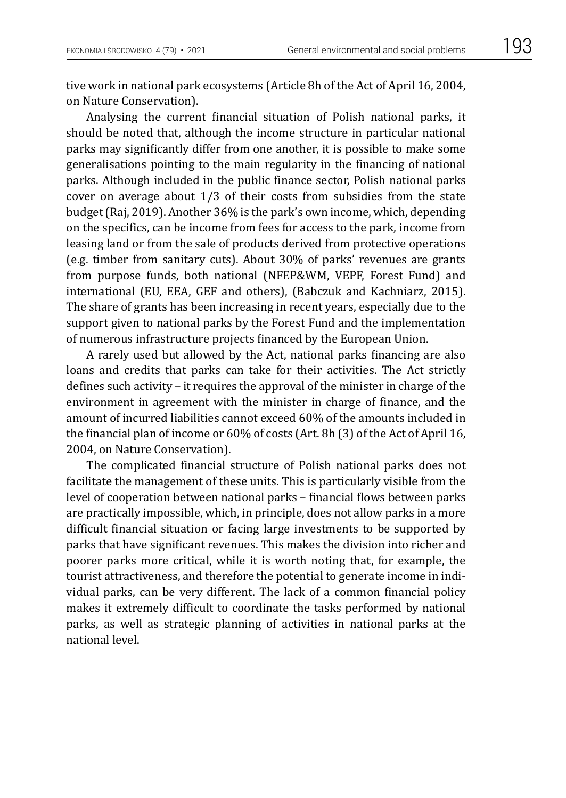tive work in national park ecosystems (Article 8h of the Act of April 16, 2004, on Nature Conservation).

Analysing the current financial situation of Polish national parks, it should be noted that, although the income structure in particular national parks may significantly differ from one another, it is possible to make some generalisations pointing to the main regularity in the financing of national parks. Although included in the public finance sector, Polish national parks cover on average about 1/3 of their costs from subsidies from the state budget (Raj, 2019). Another 36% is the park's own income, which, depending on the specifics, can be income from fees for access to the park, income from leasing land or from the sale of products derived from protective operations (e.g. timber from sanitary cuts). About 30% of parks' revenues are grants from purpose funds, both national (NFEP&WM, VEPF, Forest Fund) and international (EU, EEA, GEF and others), (Babczuk and Kachniarz, 2015). The share of grants has been increasing in recent years, especially due to the support given to national parks by the Forest Fund and the implementation of numerous infrastructure projects financed by the European Union.

A rarely used but allowed by the Act, national parks financing are also loans and credits that parks can take for their activities. The Act strictly defines such activity – it requires the approval of the minister in charge of the environment in agreement with the minister in charge of finance, and the amount of incurred liabilities cannot exceed 60% of the amounts included in the financial plan of income or 60% of costs (Art. 8h (3) of the Act of April 16, 2004, on Nature Conservation).

The complicated financial structure of Polish national parks does not facilitate the management of these units. This is particularly visible from the level of cooperation between national parks – financial flows between parks are practically impossible, which, in principle, does not allow parks in a more difficult financial situation or facing large investments to be supported by parks that have significant revenues. This makes the division into richer and poorer parks more critical, while it is worth noting that, for example, the tourist attractiveness, and therefore the potential to generate income in individual parks, can be very different. The lack of a common financial policy makes it extremely difficult to coordinate the tasks performed by national parks, as well as strategic planning of activities in national parks at the national level.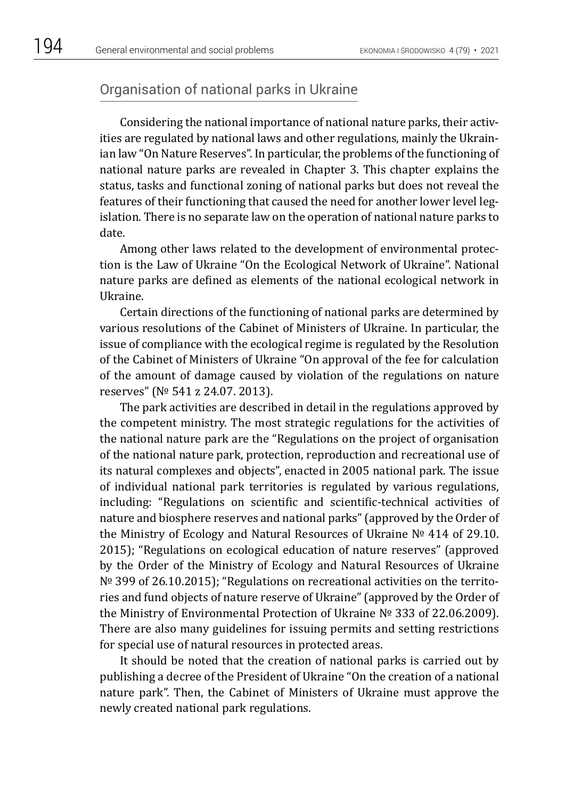## Organisation of national parks in Ukraine

Considering the national importance of national nature parks, their activities are regulated by national laws and other regulations, mainly the Ukrainian law "On Nature Reserves". In particular, the problems of the functioning of national nature parks are revealed in Chapter 3. This chapter explains the status, tasks and functional zoning of national parks but does not reveal the features of their functioning that caused the need for another lower level legislation. There is no separate law on the operation of national nature parks to date.

Among other laws related to the development of environmental protection is the Law of Ukraine "On the Ecological Network of Ukraine". National nature parks are defined as elements of the national ecological network in Ukraine.

Certain directions of the functioning of national parks are determined by various resolutions of the Cabinet of Ministers of Ukraine. In particular, the issue of compliance with the ecological regime is regulated by the Resolution of the Cabinet of Ministers of Ukraine "On approval of the fee for calculation of the amount of damage caused by violation of the regulations on nature reserves" (№ 541 z 24.07. 2013).

The park activities are described in detail in the regulations approved by the competent ministry. The most strategic regulations for the activities of the national nature park are the "Regulations on the project of organisation of the national nature park, protection, reproduction and recreational use of its natural complexes and objects", enacted in 2005 national park. The issue of individual national park territories is regulated by various regulations, including: "Regulations on scientific and scientific-technical activities of nature and biosphere reserves and national parks" (approved by the Order of the Ministry of Ecology and Natural Resources of Ukraine № 414 of 29.10. 2015); "Regulations on ecological education of nature reserves" (approved by the Order of the Ministry of Ecology and Natural Resources of Ukraine № 399 of 26.10.2015); "Regulations on recreational activities on the territories and fund objects of nature reserve of Ukraine" (approved by the Order of the Ministry of Environmental Protection of Ukraine № 333 of 22.06.2009). There are also many guidelines for issuing permits and setting restrictions for special use of natural resources in protected areas.

It should be noted that the creation of national parks is carried out by publishing a decree of the President of Ukraine "On the creation of a national nature park". Then, the Cabinet of Ministers of Ukraine must approve the newly created national park regulations.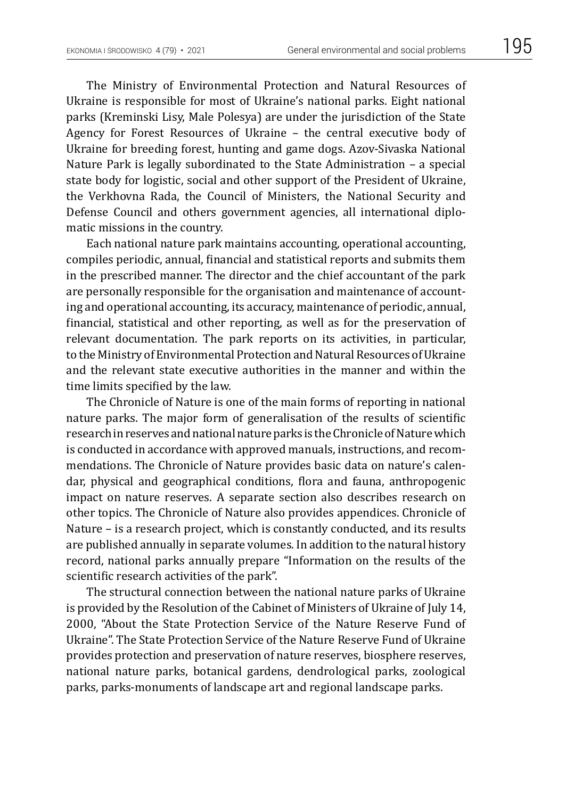The Ministry of Environmental Protection and Natural Resources of Ukraine is responsible for most of Ukraine's national parks. Eight national parks (Kreminski Lisy, Male Polesya) are under the jurisdiction of the State Agency for Forest Resources of Ukraine – the central executive body of Ukraine for breeding forest, hunting and game dogs. Azov-Sivaska National Nature Park is legally subordinated to the State Administration – a special state body for logistic, social and other support of the President of Ukraine, the Verkhovna Rada, the Council of Ministers, the National Security and Defense Council and others government agencies, all international diplomatic missions in the country.

Each national nature park maintains accounting, operational accounting, compiles periodic, annual, financial and statistical reports and submits them in the prescribed manner. The director and the chief accountant of the park are personally responsible for the organisation and maintenance of accounting and operational accounting, its accuracy, maintenance of periodic, annual, financial, statistical and other reporting, as well as for the preservation of relevant documentation. The park reports on its activities, in particular, to the Ministry of Environmental Protection and Natural Resources of Ukraine and the relevant state executive authorities in the manner and within the time limits specified by the law.

The Chronicle of Nature is one of the main forms of reporting in national nature parks. The major form of generalisation of the results of scientific research in reserves and national nature parks is the Chronicle of Naturewhich is conducted in accordance with approved manuals, instructions, and recommendations. The Chronicle of Nature provides basic data on nature's calendar, physical and geographical conditions, flora and fauna, anthropogenic impact on nature reserves. A separate section also describes research on other topics. The Chronicle of Nature also provides appendices. Chronicle of Nature – is a research project, which is constantly conducted, and its results are published annually in separate volumes. In addition to the natural history record, national parks annually prepare "Information on the results of the scientific research activities of the park".

The structural connection between the national nature parks of Ukraine is provided by the Resolution of the Cabinet of Ministers of Ukraine of July 14, 2000, "About the State Protection Service of the Nature Reserve Fund of Ukraine". The State Protection Service of the Nature Reserve Fund of Ukraine provides protection and preservation of nature reserves, biosphere reserves, national nature parks, botanical gardens, dendrological parks, zoological parks, parks-monuments of landscape art and regional landscape parks.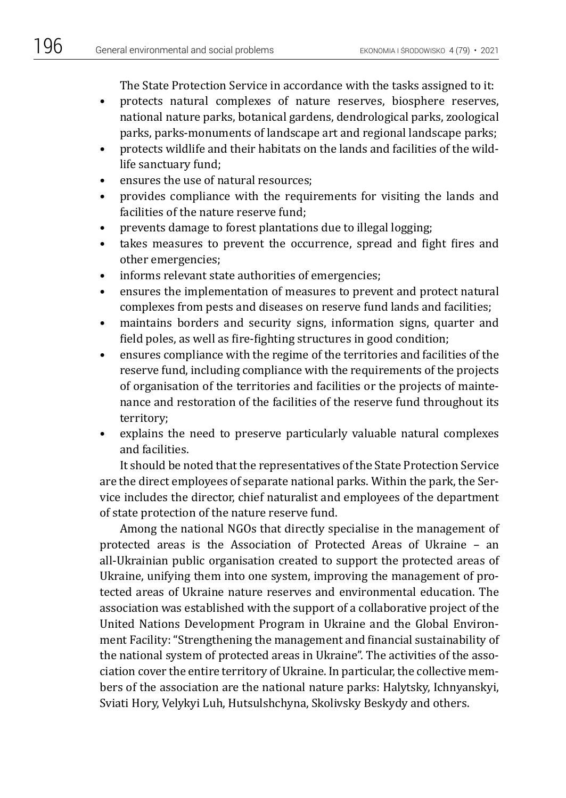The State Protection Service in accordance with the tasks assigned to it:

- protects natural complexes of nature reserves, biosphere reserves, national nature parks, botanical gardens, dendrological parks, zoological parks, parks-monuments of landscape art and regional landscape parks;
- protects wildlife and their habitats on the lands and facilities of the wildlife sanctuary fund;
- ensures the use of natural resources;
- provides compliance with the requirements for visiting the lands and facilities of the nature reserve fund;
- prevents damage to forest plantations due to illegal logging;
- takes measures to prevent the occurrence, spread and fight fires and other emergencies;
- informs relevant state authorities of emergencies;
- ensures the implementation of measures to prevent and protect natural complexes from pests and diseases on reserve fund lands and facilities;
- maintains borders and security signs, information signs, quarter and field poles, as well as fire-fighting structures in good condition;
- ensures compliance with the regime of the territories and facilities of the reserve fund, including compliance with the requirements of the projects of organisation of the territories and facilities or the projects of maintenance and restoration of the facilities of the reserve fund throughout its territory;
- explains the need to preserve particularly valuable natural complexes and facilities.

It should be noted that the representatives of the State Protection Service are the direct employees of separate national parks. Within the park, the Service includes the director, chief naturalist and employees of the department of state protection of the nature reserve fund.

Among the national NGOs that directly specialise in the management of protected areas is the Association of Protected Areas of Ukraine – an all-Ukrainian public organisation created to support the protected areas of Ukraine, unifying them into one system, improving the management of protected areas of Ukraine nature reserves and environmental education. The association was established with the support of a collaborative project of the United Nations Development Program in Ukraine and the Global Environment Facility: "Strengthening the management and financial sustainability of the national system of protected areas in Ukraine". The activities of the association cover the entire territory of Ukraine. In particular, the collective members of the association are the national nature parks: Halytsky, Ichnyanskyi, Sviati Hory, Velykyi Luh, Hutsulshchyna, Skolivsky Beskydy and others.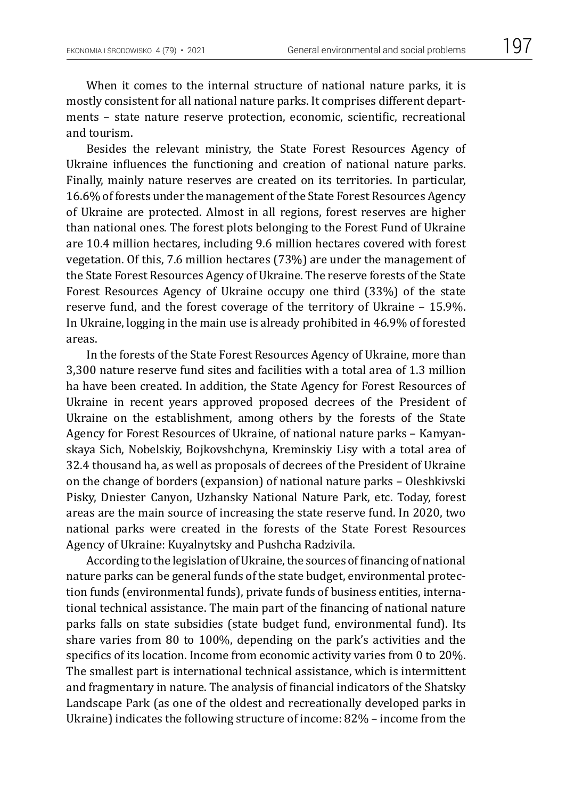When it comes to the internal structure of national nature parks, it is mostly consistent for all national nature parks. It comprises different departments – state nature reserve protection, economic, scientific, recreational and tourism.

Besides the relevant ministry, the State Forest Resources Agency of Ukraine influences the functioning and creation of national nature parks. Finally, mainly nature reserves are created on its territories. In particular, 16.6% of forests under the management of the State Forest Resources Agency of Ukraine are protected. Almost in all regions, forest reserves are higher than national ones. The forest plots belonging to the Forest Fund of Ukraine are 10.4 million hectares, including 9.6 million hectares covered with forest vegetation. Of this, 7.6 million hectares (73%) are under the management of the State Forest Resources Agency of Ukraine. The reserve forests of the State Forest Resources Agency of Ukraine occupy one third (33%) of the state reserve fund, and the forest coverage of the territory of Ukraine – 15.9%. In Ukraine, logging in the main use is already prohibited in 46.9% of forested areas.

In the forests of the State Forest Resources Agency of Ukraine, more than 3,300 nature reserve fund sites and facilities with a total area of 1.3 million ha have been created. In addition, the State Agency for Forest Resources of Ukraine in recent years approved proposed decrees of the President of Ukraine on the establishment, among others by the forests of the State Agency for Forest Resources of Ukraine, of national nature parks – Kamyanskaya Sich, Nobelskiy, Bojkovshchyna, Kreminskiy Lisy with a total area of 32.4 thousand ha, as well as proposals of decrees of the President of Ukraine on the change of borders (expansion) of national nature parks – Oleshkivski Pisky, Dniester Canyon, Uzhansky National Nature Park, etc. Today, forest areas are the main source of increasing the state reserve fund. In 2020, two national parks were created in the forests of the State Forest Resources Agency of Ukraine: Kuyalnytsky and Pushcha Radzivila.

According to the legislation of Ukraine, the sources of financing of national nature parks can be general funds of the state budget, environmental protection funds (environmental funds), private funds of business entities, international technical assistance. The main part of the financing of national nature parks falls on state subsidies (state budget fund, environmental fund). Its share varies from 80 to 100%, depending on the park's activities and the specifics of its location. Income from economic activity varies from 0 to 20%. The smallest part is international technical assistance, which is intermittent and fragmentary in nature. The analysis of financial indicators of the Shatsky Landscape Park (as one of the oldest and recreationally developed parks in Ukraine) indicates the following structure of income: 82% – income from the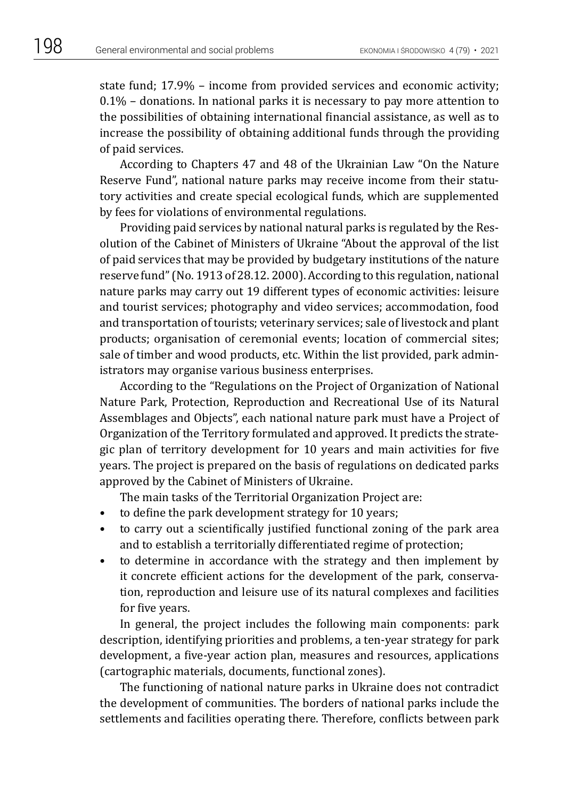state fund; 17.9% – income from provided services and economic activity;  $0.1\%$  – donations. In national parks it is necessary to pay more attention to the possibilities of obtaining international financial assistance, as well as to increase the possibility of obtaining additional funds through the providing of paid services.

According to Chapters 47 and 48 of the Ukrainian Law "On the Nature Reserve Fund", national nature parks may receive income from their statutory activities and create special ecological funds, which are supplemented by fees for violations of environmental regulations.

Providing paid services by national natural parks is regulated by the Resolution of the Cabinet of Ministers of Ukraine "About the approval of the list of paid services that may be provided by budgetary institutions of the nature reserve fund" (No. 1913 of 28.12. 2000). According to this regulation, national nature parks may carry out 19 different types of economic activities: leisure and tourist services; photography and video services; accommodation, food and transportation of tourists; veterinary services; sale of livestock and plant products; organisation of ceremonial events; location of commercial sites; sale of timber and wood products, etc. Within the list provided, park administrators may organise various business enterprises.

According to the "Regulations on the Project of Organization of National Nature Park, Protection, Reproduction and Recreational Use of its Natural Assemblages and Objects", each national nature park must have a Project of Organization of the Territory formulated and approved. It predicts the strategic plan of territory development for 10 years and main activities for five years. The project is prepared on the basis of regulations on dedicated parks approved by the Cabinet of Ministers of Ukraine.

The main tasks of the Territorial Organization Project are:

- to define the park development strategy for 10 years;
- to carry out a scientifically justified functional zoning of the park area and to establish a territorially differentiated regime of protection;
- to determine in accordance with the strategy and then implement by it concrete efficient actions for the development of the park, conservation, reproduction and leisure use of its natural complexes and facilities for five years.

In general, the project includes the following main components: park description, identifying priorities and problems, a ten-year strategy for park development, a five-year action plan, measures and resources, applications (cartographic materials, documents, functional zones).

The functioning of national nature parks in Ukraine does not contradict the development of communities. The borders of national parks include the settlements and facilities operating there. Therefore, conflicts between park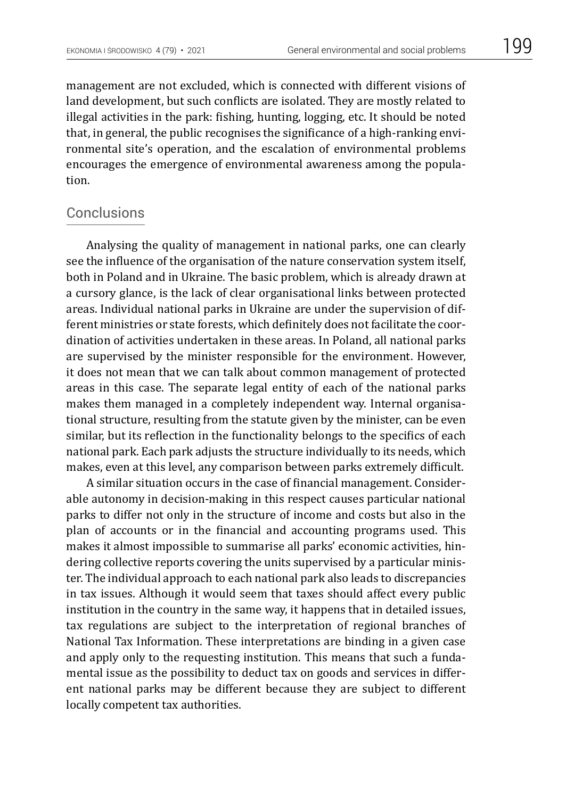management are not excluded, which is connected with different visions of land development, but such conflicts are isolated. They are mostly related to illegal activities in the park: fishing, hunting, logging, etc. It should be noted that, in general, the public recognises the significance of a high-ranking environmental site's operation, and the escalation of environmental problems encourages the emergence of environmental awareness among the population.

## **Conclusions**

Analysing the quality of management in national parks, one can clearly see the influence of the organisation of the nature conservation system itself, both in Poland and in Ukraine. The basic problem, which is already drawn at a cursory glance, is the lack of clear organisational links between protected areas. Individual national parks in Ukraine are under the supervision of different ministries or state forests, which definitely does not facilitate the coordination of activities undertaken in these areas. In Poland, all national parks are supervised by the minister responsible for the environment. However, it does not mean that we can talk about common management of protected areas in this case. The separate legal entity of each of the national parks makes them managed in a completely independent way. Internal organisational structure, resulting from the statute given by the minister, can be even similar, but its reflection in the functionality belongs to the specifics of each national park. Each park adjusts the structure individually to its needs, which makes, even at this level, any comparison between parks extremely difficult.

A similar situation occurs in the case of financial management. Considerable autonomy in decision-making in this respect causes particular national parks to differ not only in the structure of income and costs but also in the plan of accounts or in the financial and accounting programs used. This makes it almost impossible to summarise all parks' economic activities, hindering collective reports covering the units supervised by a particular minister. The individual approach to each national park also leads to discrepancies in tax issues. Although it would seem that taxes should affect every public institution in the country in the same way, it happens that in detailed issues, tax regulations are subject to the interpretation of regional branches of National Tax Information. These interpretations are binding in a given case and apply only to the requesting institution. This means that such a fundamental issue as the possibility to deduct tax on goods and services in different national parks may be different because they are subject to different locally competent tax authorities.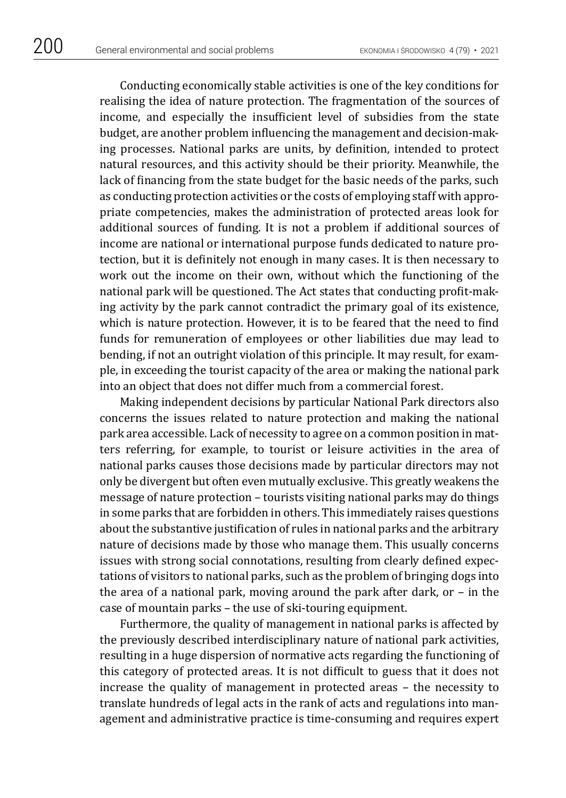Conducting economically stable activities is one of the key conditions for realising the idea of nature protection. The fragmentation of the sources of income, and especially the insufficient level of subsidies from the state budget, are another problem influencing the management and decision-making processes. National parks are units, by definition, intended to protect natural resources, and this activity should be their priority. Meanwhile, the lack of financing from the state budget for the basic needs of the parks, such as conducting protection activities or the costs of employing staff with appropriate competencies, makes the administration of protected areas look for additional sources of funding. It is not a problem if additional sources of income are national or international purpose funds dedicated to nature protection, but it is definitely not enough in many cases. It is then necessary to work out the income on their own, without which the functioning of the national park will be questioned. The Act states that conducting profit-making activity by the park cannot contradict the primary goal of its existence, which is nature protection. However, it is to be feared that the need to find funds for remuneration of employees or other liabilities due may lead to bending, if not an outright violation of this principle. It may result, for example, in exceeding the tourist capacity of the area or making the national park into an object that does not differ much from a commercial forest.

Making independent decisions by particular National Park directors also concerns the issues related to nature protection and making the national park area accessible. Lack of necessity to agree on a common position in matters referring, for example, to tourist or leisure activities in the area of national parks causes those decisions made by particular directors may not only be divergent but often even mutually exclusive. This greatly weakens the message of nature protection – tourists visiting national parks may do things in some parks that are forbidden in others. This immediately raises questions about the substantive justification of rules in national parks and the arbitrary nature of decisions made by those who manage them. This usually concerns issues with strong social connotations, resulting from clearly defined expectations of visitors to national parks, such as the problem of bringing dogs into the area of a national park, moving around the park after dark, or – in the case of mountain parks – the use of ski-touring equipment.

Furthermore, the quality of management in national parks is affected by the previously described interdisciplinary nature of national park activities, resulting in a huge dispersion of normative acts regarding the functioning of this category of protected areas. It is not difficult to guess that it does not increase the quality of management in protected areas – the necessity to translate hundreds of legal acts in the rank of acts and regulations into management and administrative practice is time-consuming and requires expert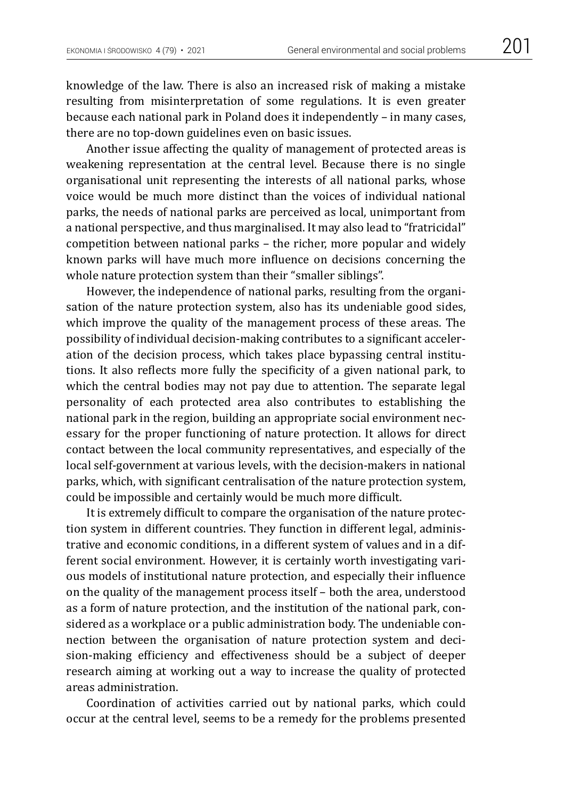knowledge of the law. There is also an increased risk of making a mistake resulting from misinterpretation of some regulations. It is even greater because each national park in Poland does it independently – in many cases, there are no top-down guidelines even on basic issues.

Another issue affecting the quality of management of protected areas is weakening representation at the central level. Because there is no single organisational unit representing the interests of all national parks, whose voice would be much more distinct than the voices of individual national parks, the needs of national parks are perceived as local, unimportant from a national perspective, and thus marginalised. It may also lead to "fratricidal" competition between national parks – the richer, more popular and widely known parks will have much more influence on decisions concerning the whole nature protection system than their "smaller siblings".

However, the independence of national parks, resulting from the organisation of the nature protection system, also has its undeniable good sides, which improve the quality of the management process of these areas. The possibility of individual decision-making contributes to a significant acceleration of the decision process, which takes place bypassing central institutions. It also reflects more fully the specificity of a given national park, to which the central bodies may not pay due to attention. The separate legal personality of each protected area also contributes to establishing the national park in the region, building an appropriate social environment necessary for the proper functioning of nature protection. It allows for direct contact between the local community representatives, and especially of the local self-government at various levels, with the decision-makers in national parks, which, with significant centralisation of the nature protection system, could be impossible and certainly would be much more difficult.

It is extremely difficult to compare the organisation of the nature protection system in different countries. They function in different legal, administrative and economic conditions, in a different system of values and in a different social environment. However, it is certainly worth investigating various models of institutional nature protection, and especially their influence on the quality of the management process itself – both the area, understood as a form of nature protection, and the institution of the national park, considered as a workplace or a public administration body. The undeniable connection between the organisation of nature protection system and decision-making efficiency and effectiveness should be a subject of deeper research aiming at working out a way to increase the quality of protected areas administration.

Coordination of activities carried out by national parks, which could occur at the central level, seems to be a remedy for the problems presented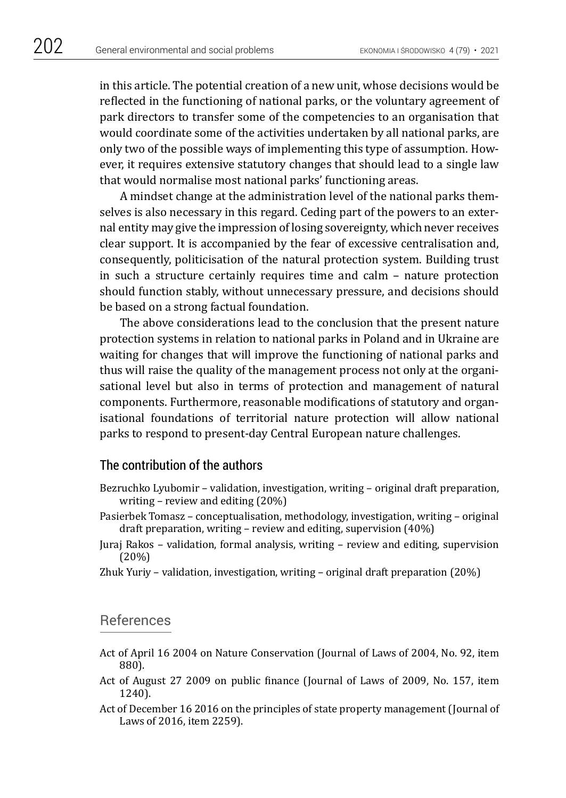in this article. The potential creation of a new unit, whose decisions would be reflected in the functioning of national parks, or the voluntary agreement of park directors to transfer some of the competencies to an organisation that would coordinate some of the activities undertaken by all national parks, are only two of the possible ways of implementing this type of assumption. However, it requires extensive statutory changes that should lead to a single law that would normalise most national parks' functioning areas.

A mindset change at the administration level of the national parks themselves is also necessary in this regard. Ceding part of the powers to an external entity may give the impression of losing sovereignty, which never receives clear support. It is accompanied by the fear of excessive centralisation and, consequently, politicisation of the natural protection system. Building trust in such a structure certainly requires time and calm – nature protection should function stably, without unnecessary pressure, and decisions should be based on a strong factual foundation.

The above considerations lead to the conclusion that the present nature protection systems in relation to national parks in Poland and in Ukraine are waiting for changes that will improve the functioning of national parks and thus will raise the quality of the management process not only at the organisational level but also in terms of protection and management of natural components. Furthermore, reasonable modifications of statutory and organisational foundations of territorial nature protection will allow national parks to respond to present-day Central European nature challenges.

#### The contribution of the authors

- Bezruchko Lyubomir validation, investigation, writing original draft preparation, writing – review and editing (20%)
- Pasierbek Tomasz conceptualisation, methodology, investigation, writing original draft preparation, writing – review and editing, supervision (40%)
- Juraj Rakos validation, formal analysis, writing review and editing, supervision (20%)
- Zhuk Yuriy validation, investigation, writing original draft preparation (20%)

#### References

- Act of April 16 2004 on Nature Conservation (Journal of Laws of 2004, No. 92, item 880).
- Act of August 27 2009 on public finance (Journal of Laws of 2009, No. 157, item 1240).
- Act of December 16 2016 on the principles of state property management (Journal of Laws of 2016, item 2259).